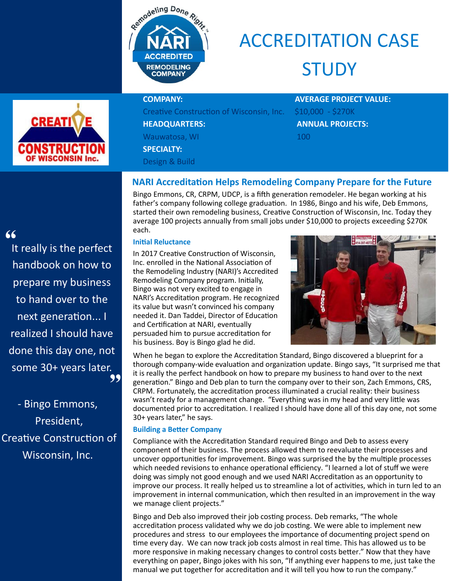

# ACCREDITATION CASE **STUDY**



Creative Construction of Wisconsin, Inc. \$10,000 - \$270K

Wauwatosa, WI 100

**SPECIALTY:**

Design & Build

**COMPANY: AVERAGE PROJECT VALUE: HEADQUARTERS: ANNUAL PROJECTS:**

# **NARI Accreditation Helps Remodeling Company Prepare for the Future**

Bingo Emmons, CR, CRPM, UDCP, is a fifth generation remodeler. He began working at his father's company following college graduation. In 1986, Bingo and his wife, Deb Emmons, started their own remodeling business, Creative Construction of Wisconsin, Inc. Today they average 100 projects annually from small jobs under \$10,000 to projects exceeding \$270K each.

# **Initial Reluctance**

In 2017 Creative Construction of Wisconsin, Inc. enrolled in the National Association of the Remodeling Industry (NARI)'s Accredited Remodeling Company program. Initially, Bingo was not very excited to engage in NARI's Accreditation program. He recognized its value but wasn't convinced his company needed it. Dan Taddei, Director of Education and Certification at NARI, eventually persuaded him to pursue accreditation for his business. Boy is Bingo glad he did.



When he began to explore the Accreditation Standard, Bingo discovered a blueprint for a thorough company-wide evaluation and organization update. Bingo says, "It surprised me that it is really the perfect handbook on how to prepare my business to hand over to the next generation." Bingo and Deb plan to turn the company over to their son, Zach Emmons, CRS, CRPM. Fortunately, the accreditation process illuminated a crucial reality: their business wasn't ready for a management change. "Everything was in my head and very little was documented prior to accreditation. I realized I should have done all of this day one, not some 30+ years later," he says.

# **Building a Better Company**

Compliance with the Accreditation Standard required Bingo and Deb to assess every component of their business. The process allowed them to reevaluate their processes and uncover opportunities for improvement. Bingo was surprised the by the multiple processes which needed revisions to enhance operational efficiency. "I learned a lot of stuff we were doing was simply not good enough and we used NARI Accreditation as an opportunity to improve our process. It really helped us to streamline a lot of activities, which in turn led to an improvement in internal communication, which then resulted in an improvement in the way we manage client projects."

Bingo and Deb also improved their job costing process. Deb remarks, "The whole accreditation process validated why we do job costing. We were able to implement new procedures and stress to our employees the importance of documenting project spend on time every day. We can now track job costs almost in real time. This has allowed us to be more responsive in making necessary changes to control costs better." Now that they have everything on paper, Bingo jokes with his son, "If anything ever happens to me, just take the manual we put together for accreditation and it will tell you how to run the company."

# "

99 It really is the perfect handbook on how to prepare my business to hand over to the next generation... I realized I should have done this day one, not some 30+ years later.

- Bingo Emmons, President, Creative Construction of Wisconsin, Inc.